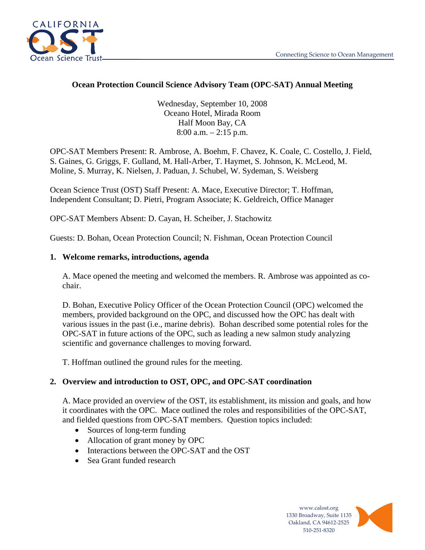

### **Ocean Protection Council Science Advisory Team (OPC-SAT) Annual Meeting**

Wednesday, September 10, 2008 Oceano Hotel, Mirada Room Half Moon Bay, CA 8:00 a.m. – 2:15 p.m.

OPC-SAT Members Present: R. Ambrose, A. Boehm, F. Chavez, K. Coale, C. Costello, J. Field, S. Gaines, G. Griggs, F. Gulland, M. Hall-Arber, T. Haymet, S. Johnson, K. McLeod, M. Moline, S. Murray, K. Nielsen, J. Paduan, J. Schubel, W. Sydeman, S. Weisberg

Ocean Science Trust (OST) Staff Present: A. Mace, Executive Director; T. Hoffman, Independent Consultant; D. Pietri, Program Associate; K. Geldreich, Office Manager

OPC-SAT Members Absent: D. Cayan, H. Scheiber, J. Stachowitz

Guests: D. Bohan, Ocean Protection Council; N. Fishman, Ocean Protection Council

#### **1. Welcome remarks, introductions, agenda**

A. Mace opened the meeting and welcomed the members. R. Ambrose was appointed as cochair.

D. Bohan, Executive Policy Officer of the Ocean Protection Council (OPC) welcomed the members, provided background on the OPC, and discussed how the OPC has dealt with various issues in the past (i.e., marine debris). Bohan described some potential roles for the OPC-SAT in future actions of the OPC, such as leading a new salmon study analyzing scientific and governance challenges to moving forward.

T. Hoffman outlined the ground rules for the meeting.

## **2. Overview and introduction to OST, OPC, and OPC-SAT coordination**

A. Mace provided an overview of the OST, its establishment, its mission and goals, and how it coordinates with the OPC. Mace outlined the roles and responsibilities of the OPC-SAT, and fielded questions from OPC-SAT members. Question topics included:

- Sources of long-term funding
- Allocation of grant money by OPC
- Interactions between the OPC-SAT and the OST
- Sea Grant funded research

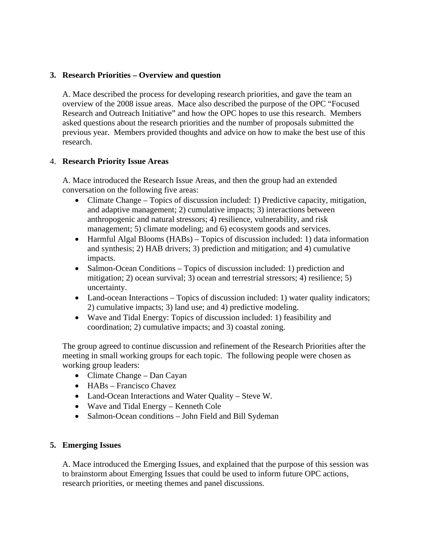### **3. Research Priorities – Overview and question**

A. Mace described the process for developing research priorities, and gave the team an overview of the 2008 issue areas. Mace also described the purpose of the OPC "Focused Research and Outreach Initiative" and how the OPC hopes to use this research. Members asked questions about the research priorities and the number of proposals submitted the previous year. Members provided thoughts and advice on how to make the best use of this research.

#### 4. **Research Priority Issue Areas**

A. Mace introduced the Research Issue Areas, and then the group had an extended conversation on the following five areas:

- Climate Change Topics of discussion included: 1) Predictive capacity, mitigation, and adaptive management; 2) cumulative impacts; 3) interactions between anthropogenic and natural stressors; 4) resilience, vulnerability, and risk management; 5) climate modeling; and 6) ecosystem goods and services.
- Harmful Algal Blooms (HABs) Topics of discussion included: 1) data information and synthesis; 2) HAB drivers; 3) prediction and mitigation; and 4) cumulative impacts.
- Salmon-Ocean Conditions Topics of discussion included: 1) prediction and mitigation; 2) ocean survival; 3) ocean and terrestrial stressors; 4) resilience; 5) uncertainty.
- Land-ocean Interactions Topics of discussion included: 1) water quality indicators; 2) cumulative impacts; 3) land use; and 4) predictive modeling.
- Wave and Tidal Energy: Topics of discussion included: 1) feasibility and coordination; 2) cumulative impacts; and 3) coastal zoning.

The group agreed to continue discussion and refinement of the Research Priorities after the meeting in small working groups for each topic. The following people were chosen as working group leaders:

- Climate Change Dan Cayan
- HABs Francisco Chavez
- Land-Ocean Interactions and Water Quality Steve W.
- Wave and Tidal Energy Kenneth Cole
- Salmon-Ocean conditions John Field and Bill Sydeman

#### **5. Emerging Issues**

A. Mace introduced the Emerging Issues, and explained that the purpose of this session was to brainstorm about Emerging Issues that could be used to inform future OPC actions, research priorities, or meeting themes and panel discussions.